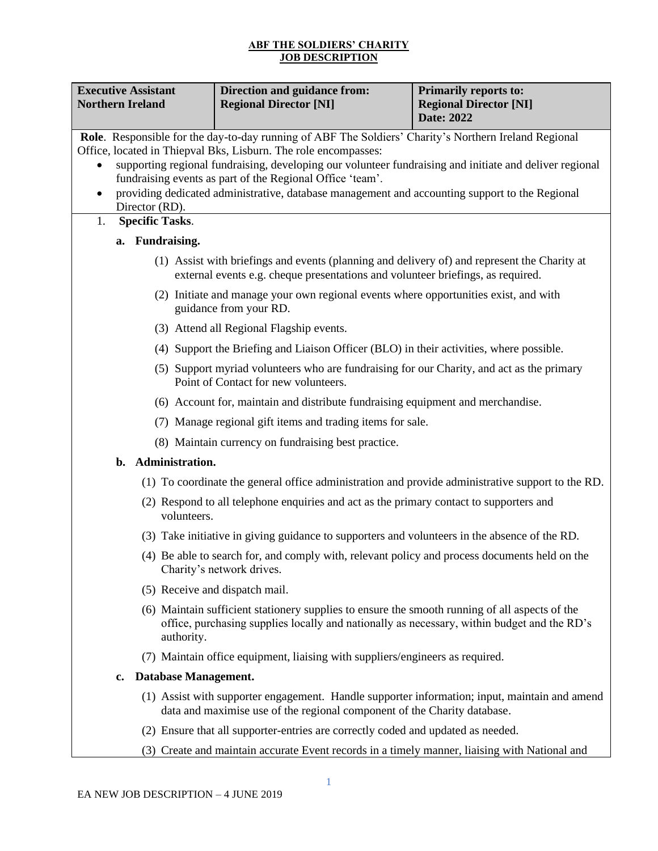## **ABF THE SOLDIERS' CHARITY JOB DESCRIPTION**

| <b>Executive Assistant</b><br><b>Northern Ireland</b> | <b>Direction and guidance from:</b><br><b>Regional Director [NI]</b>                                                                                                                          | <b>Primarily reports to:</b><br><b>Regional Director [NI]</b><br>Date: 2022 |  |
|-------------------------------------------------------|-----------------------------------------------------------------------------------------------------------------------------------------------------------------------------------------------|-----------------------------------------------------------------------------|--|
|                                                       | Role. Responsible for the day-to-day running of ABF The Soldiers' Charity's Northern Ireland Regional                                                                                         |                                                                             |  |
|                                                       | Office, located in Thiepval Bks, Lisburn. The role encompasses:<br>supporting regional fundraising, developing our volunteer fundraising and initiate and deliver regional                    |                                                                             |  |
|                                                       | fundraising events as part of the Regional Office 'team'.                                                                                                                                     |                                                                             |  |
| $\bullet$                                             | providing dedicated administrative, database management and accounting support to the Regional                                                                                                |                                                                             |  |
| Director (RD).<br><b>Specific Tasks.</b><br>1.        |                                                                                                                                                                                               |                                                                             |  |
| a. Fundraising.                                       |                                                                                                                                                                                               |                                                                             |  |
|                                                       | (1) Assist with briefings and events (planning and delivery of) and represent the Charity at<br>external events e.g. cheque presentations and volunteer briefings, as required.               |                                                                             |  |
|                                                       | (2) Initiate and manage your own regional events where opportunities exist, and with<br>guidance from your RD.                                                                                |                                                                             |  |
|                                                       | (3) Attend all Regional Flagship events.                                                                                                                                                      |                                                                             |  |
|                                                       | (4) Support the Briefing and Liaison Officer (BLO) in their activities, where possible.                                                                                                       |                                                                             |  |
|                                                       | (5) Support myriad volunteers who are fundraising for our Charity, and act as the primary<br>Point of Contact for new volunteers.                                                             |                                                                             |  |
|                                                       | (6) Account for, maintain and distribute fundraising equipment and merchandise.                                                                                                               |                                                                             |  |
|                                                       | (7) Manage regional gift items and trading items for sale.                                                                                                                                    |                                                                             |  |
|                                                       | (8) Maintain currency on fundraising best practice.                                                                                                                                           |                                                                             |  |
| b. Administration.                                    |                                                                                                                                                                                               |                                                                             |  |
|                                                       | (1) To coordinate the general office administration and provide administrative support to the RD.                                                                                             |                                                                             |  |
| volunteers.                                           | (2) Respond to all telephone enquiries and act as the primary contact to supporters and                                                                                                       |                                                                             |  |
|                                                       | (3) Take initiative in giving guidance to supporters and volunteers in the absence of the RD.                                                                                                 |                                                                             |  |
|                                                       | (4) Be able to search for, and comply with, relevant policy and process documents held on the<br>Charity's network drives.                                                                    |                                                                             |  |
|                                                       | (5) Receive and dispatch mail.                                                                                                                                                                |                                                                             |  |
| authority.                                            | (6) Maintain sufficient stationery supplies to ensure the smooth running of all aspects of the<br>office, purchasing supplies locally and nationally as necessary, within budget and the RD's |                                                                             |  |
|                                                       | (7) Maintain office equipment, liaising with suppliers/engineers as required.                                                                                                                 |                                                                             |  |
| Database Management.<br>$\mathbf{c}$ .                |                                                                                                                                                                                               |                                                                             |  |
|                                                       | (1) Assist with supporter engagement. Handle supporter information; input, maintain and amend<br>data and maximise use of the regional component of the Charity database.                     |                                                                             |  |
|                                                       | (2) Ensure that all supporter-entries are correctly coded and updated as needed.                                                                                                              |                                                                             |  |
|                                                       | (3) Create and maintain accurate Event records in a timely manner, liaising with National and                                                                                                 |                                                                             |  |